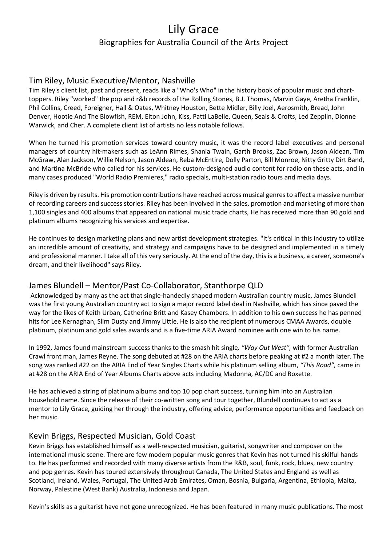# Lily Grace Biographies for Australia Council of the Arts Project

#### Tim Riley, Music Executive/Mentor, Nashville

Tim Riley's client list, past and present, reads like a "Who's Who" in the history book of popular music and charttoppers. Riley "worked" the pop and r&b records of the Rolling Stones, B.J. Thomas, Marvin Gaye, Aretha Franklin, Phil Collins, Creed, Foreigner, Hall & Oates, Whitney Houston, Bette Midler, Billy Joel, Aerosmith, Bread, John Denver, Hootie And The Blowfish, REM, Elton John, Kiss, Patti LaBelle, Queen, Seals & Crofts, Led Zepplin, Dionne Warwick, and Cher. A complete client list of artists no less notable follows.

When he turned his promotion services toward country music, it was the record label executives and personal managers of country hit-makers such as LeAnn Rimes, Shania Twain, Garth Brooks, Zac Brown, Jason Aldean, Tim McGraw, Alan Jackson, Willie Nelson, Jason Aldean, Reba McEntire, Dolly Parton, Bill Monroe, Nitty Gritty Dirt Band, and Martina McBride who called for his services. He custom-designed audio content for radio on these acts, and in many cases produced "World Radio Premieres," radio specials, multi-station radio tours and media days.

Riley is driven by results. His promotion contributions have reached across musical genres to affect a massive number of recording careers and success stories. Riley has been involved in the sales, promotion and marketing of more than 1,100 singles and 400 albums that appeared on national music trade charts, He has received more than 90 gold and platinum albums recognizing his services and expertise.

He continues to design marketing plans and new artist development strategies. "It's critical in this industry to utilize an incredible amount of creativity, and strategy and campaigns have to be designed and implemented in a timely and professional manner. I take all of this very seriously. At the end of the day, this is a business, a career, someone's dream, and their livelihood" says Riley.

### James Blundell – Mentor/Past Co-Collaborator, Stanthorpe QLD

Acknowledged by many as the act that single-handedly shaped modern Australian country music, James Blundell was the first young Australian country act to sign a major record label deal in Nashville, which has since paved the way for the likes of Keith Urban, Catherine Britt and Kasey Chambers. In addition to his own success he has penned hits for Lee Kernaghan, Slim Dusty and Jimmy Little. He is also the recipient of numerous CMAA Awards, double platinum, platinum and gold sales awards and is a five-time ARIA Award nominee with one win to his name.

In 1992, James found mainstream success thanks to the smash hit single*, "Way Out West",* with former Australian Crawl front man, James Reyne. The song debuted at #28 on the ARIA charts before peaking at #2 a month later. The song was ranked #22 on the ARIA End of Year Singles Charts while his platinum selling album, *"This Road",* came in at #28 on the ARIA End of Year Albums Charts above acts including Madonna, AC/DC and Roxette.

He has achieved a string of platinum albums and top 10 pop chart success, turning him into an Australian household name. Since the release of their co-written song and tour together, Blundell continues to act as a mentor to Lily Grace, guiding her through the industry, offering advice, performance opportunities and feedback on her music.

### Kevin Briggs, Respected Musician, Gold Coast

Kevin Briggs has established himself as a well-respected musician, guitarist, songwriter and composer on the international music scene. There are few modern popular music genres that Kevin has not turned his skilful hands to. He has performed and recorded with many diverse artists from the R&B, soul, funk, rock, blues, new country and pop genres. Kevin has toured extensively throughout Canada, The United States and England as well as Scotland, Ireland, Wales, Portugal, The United Arab Emirates, Oman, Bosnia, Bulgaria, Argentina, Ethiopia, Malta, Norway, Palestine (West Bank) Australia, Indonesia and Japan.

Kevin's skills as a guitarist have not gone unrecognized. He has been featured in many music publications. The most